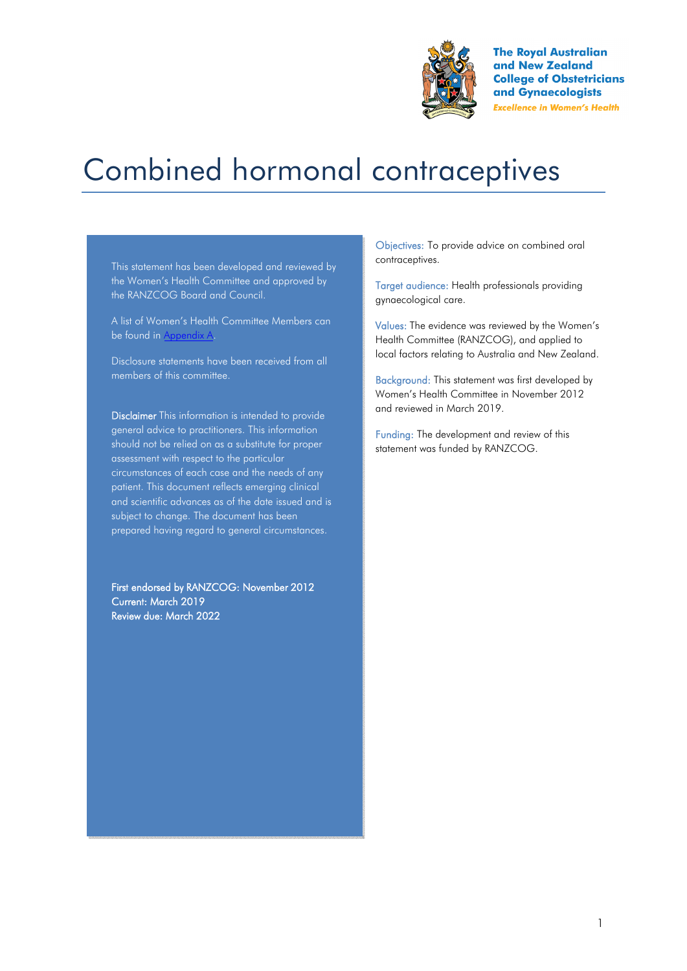

**The Royal Australian** and New Zealand **College of Obstetricians** and Gynaecologists **Excellence in Women's Health** 

# Combined hormonal contraceptives

This statement has been developed and reviewed by the Women's Health Committee and approved by the RANZCOG Board and Council.

A list of Women's Health Committee Members can be found in Appendix A.

Disclosure statements have been received from all members of this committee.

Disclaimer This information is intended to provide general advice to practitioners. This information should not be relied on as a substitute for proper assessment with respect to the particular circumstances of each case and the needs of any patient. This document reflects emerging clinical and scientific advances as of the date issued and is subject to change. The document has been prepared having regard to general circumstances.

First endorsed by RANZCOG: November 2012 Current: March 2019 Review due: March 2022

Objectives: To provide advice on combined oral contraceptives.

Target audience: Health professionals providing gynaecological care.

Values: The evidence was reviewed by the Women's Health Committee (RANZCOG), and applied to local factors relating to Australia and New Zealand.

Background: This statement was first developed by Women's Health Committee in November 2012 and reviewed in March 2019.

Funding: The development and review of this statement was funded by RANZCOG.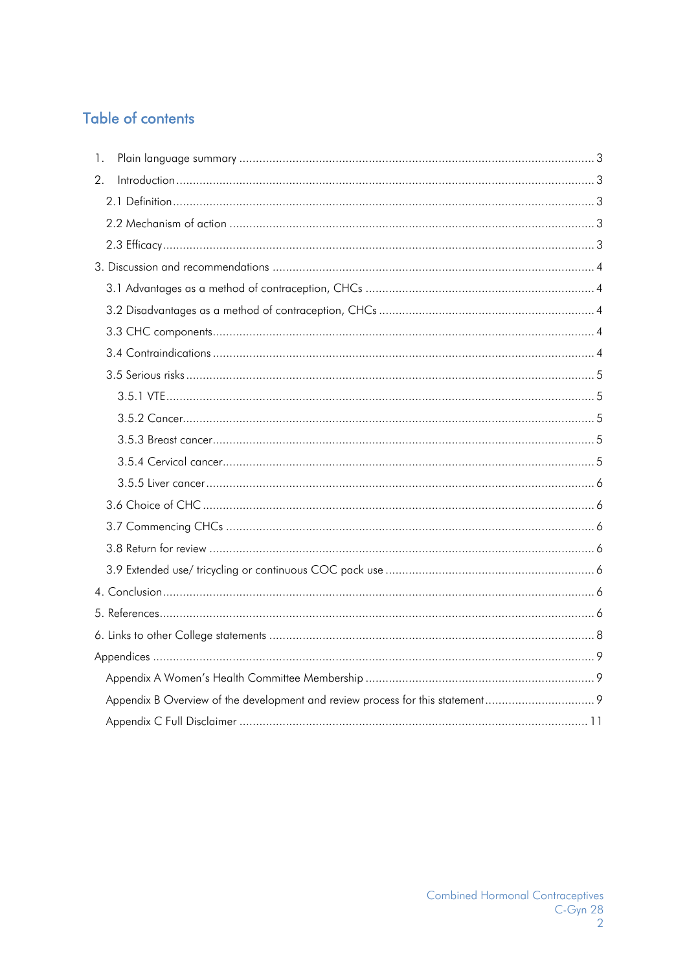# **Table of contents**

| 1. |  |
|----|--|
| 2. |  |
|    |  |
|    |  |
|    |  |
|    |  |
|    |  |
|    |  |
|    |  |
|    |  |
|    |  |
|    |  |
|    |  |
|    |  |
|    |  |
|    |  |
|    |  |
|    |  |
|    |  |
|    |  |
|    |  |
|    |  |
|    |  |
|    |  |
|    |  |
|    |  |
|    |  |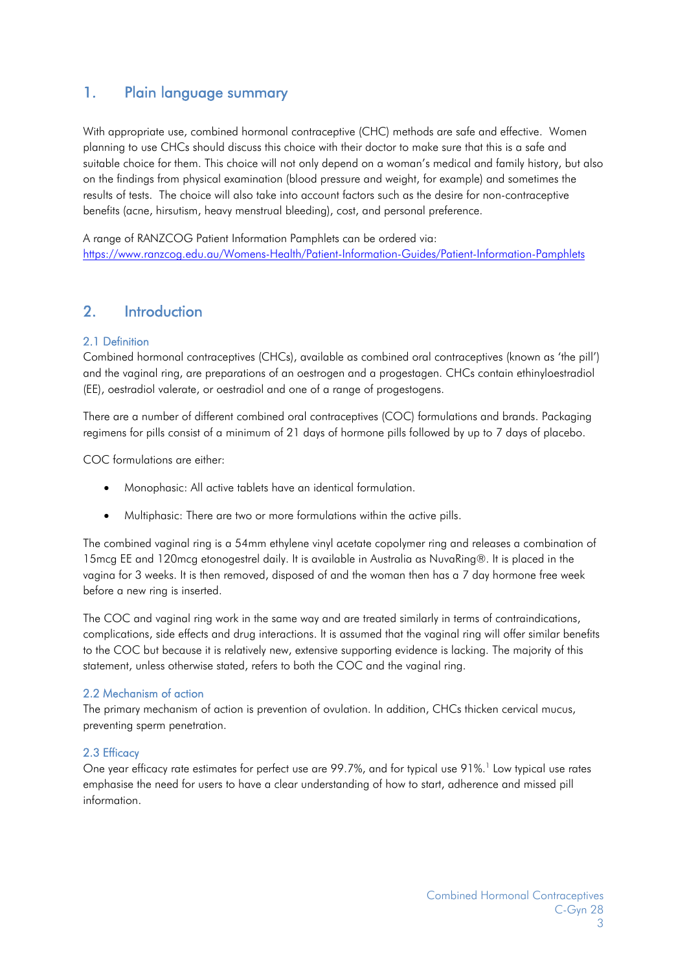# 1. Plain language summary

With appropriate use, combined hormonal contraceptive (CHC) methods are safe and effective. Women planning to use CHCs should discuss this choice with their doctor to make sure that this is a safe and suitable choice for them. This choice will not only depend on a woman's medical and family history, but also on the findings from physical examination (blood pressure and weight, for example) and sometimes the results of tests. The choice will also take into account factors such as the desire for non-contraceptive benefits (acne, hirsutism, heavy menstrual bleeding), cost, and personal preference.

A range of RANZCOG Patient Information Pamphlets can be ordered via: https://www.ranzcog.edu.au/Womens-Health/Patient-Information-Guides/Patient-Information-Pamphlets

## 2. Introduction

#### 2.1 Definition

Combined hormonal contraceptives (CHCs), available as combined oral contraceptives (known as 'the pill') and the vaginal ring, are preparations of an oestrogen and a progestagen. CHCs contain ethinyloestradiol (EE), oestradiol valerate, or oestradiol and one of a range of progestogens.

There are a number of different combined oral contraceptives (COC) formulations and brands. Packaging regimens for pills consist of a minimum of 21 days of hormone pills followed by up to 7 days of placebo.

COC formulations are either:

- Monophasic: All active tablets have an identical formulation.
- Multiphasic: There are two or more formulations within the active pills.

The combined vaginal ring is a 54mm ethylene vinyl acetate copolymer ring and releases a combination of 15mcg EE and 120mcg etonogestrel daily. It is available in Australia as NuvaRing®. It is placed in the vagina for 3 weeks. It is then removed, disposed of and the woman then has a 7 day hormone free week before a new ring is inserted.

The COC and vaginal ring work in the same way and are treated similarly in terms of contraindications, complications, side effects and drug interactions. It is assumed that the vaginal ring will offer similar benefits to the COC but because it is relatively new, extensive supporting evidence is lacking. The majority of this statement, unless otherwise stated, refers to both the COC and the vaginal ring.

#### 2.2 Mechanism of action

The primary mechanism of action is prevention of ovulation. In addition, CHCs thicken cervical mucus, preventing sperm penetration.

#### 2.3 Efficacy

One year efficacy rate estimates for perfect use are 99.7%, and for typical use 91%.<sup>1</sup> Low typical use rates emphasise the need for users to have a clear understanding of how to start, adherence and missed pill information.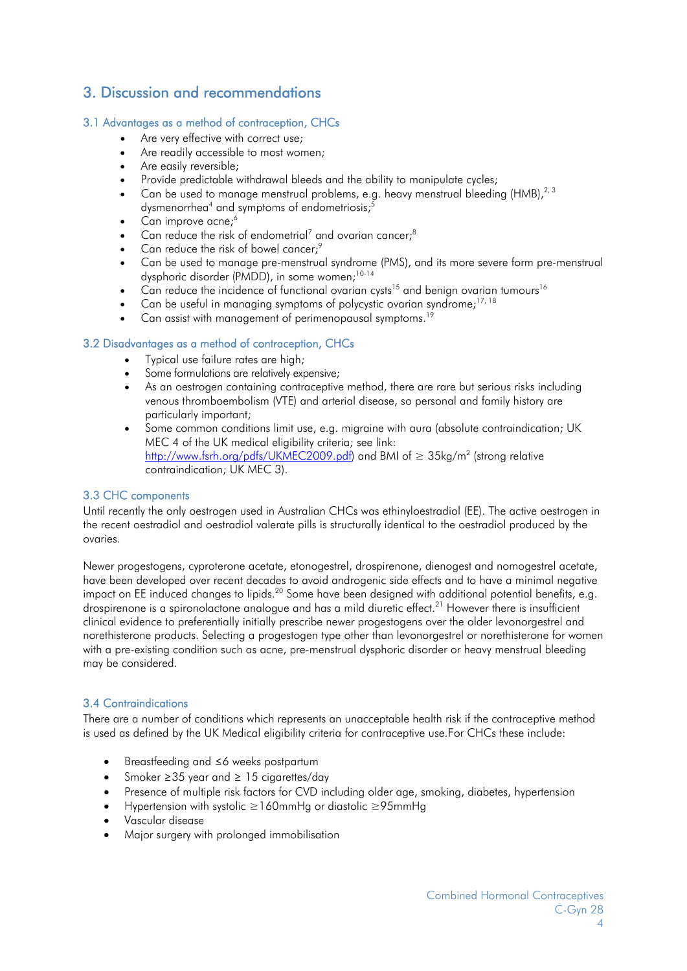# 3. Discussion and recommendations

#### 3.1 Advantages as a method of contraception, CHCs

- Are very effective with correct use:
- Are readily accessible to most women;
- Are easily reversible;
- Provide predictable withdrawal bleeds and the ability to manipulate cycles;
- Can be used to manage menstrual problems, e.g. heavy menstrual bleeding (HMB),<sup>2, 3</sup> dysmenorrhea<sup>4</sup> and symptoms of endometriosis;<sup>5</sup>
- $\overline{C}$ an improve acne;<sup>6</sup>
- Can reduce the risk of endometrial<sup>7</sup> and ovarian cancer;<sup>8</sup>
- Can reduce the risk of bowel cancer;<sup>9</sup>
- Can be used to manage pre-menstrual syndrome (PMS), and its more severe form pre-menstrual dysphoric disorder (PMDD), in some women;10-14
- $\frac{1}{2}$ Can reduce the incidence of functional ovarian cysts<sup>15</sup> and benign ovarian tumours<sup>16</sup>
- Can be useful in managing symptoms of polycystic ovarian syndrome;<sup>17, 18</sup>
- Can assist with management of perimenopausal symptoms.<sup>19</sup>

#### 3.2 Disadvantages as a method of contraception, CHCs

- Typical use failure rates are high;
- Some formulations are relatively expensive;
- As an oestrogen containing contraceptive method, there are rare but serious risks including venous thromboembolism (VTE) and arterial disease, so personal and family history are particularly important;
- Some common conditions limit use, e.g. migraine with aura (absolute contraindication; UK MEC 4 of the UK medical eligibility criteria; see link: <u>http://www.fsrh.org/pdfs/UKMEC2009.pdf</u>) and BMI of ≥ 35kg/m<sup>2</sup> (strong relative contraindication; UK MEC 3).

#### 3.3 CHC components

Until recently the only oestrogen used in Australian CHCs was ethinyloestradiol (EE). The active oestrogen in the recent oestradiol and oestradiol valerate pills is structurally identical to the oestradiol produced by the ovaries.

Newer progestogens, cyproterone acetate, etonogestrel, drospirenone, dienogest and nomogestrel acetate, have been developed over recent decades to avoid androgenic side effects and to have a minimal negative impact on EE induced changes to lipids.<sup>20</sup> Some have been designed with additional potential benefits, e.g. drospirenone is a spironolactone analogue and has a mild diuretic effect.<sup>21</sup> However there is insufficient clinical evidence to preferentially initially prescribe newer progestogens over the older levonorgestrel and norethisterone products. Selecting a progestogen type other than levonorgestrel or norethisterone for women with a pre-existing condition such as acne, pre-menstrual dysphoric disorder or heavy menstrual bleeding may be considered.

#### 3.4 Contraindications

There are a number of conditions which represents an unacceptable health risk if the contraceptive method is used as defined by the UK Medical eligibility criteria for contraceptive use.For CHCs these include:

- Breastfeeding and ≤6 weeks postpartum
- Smoker ≥35 year and ≥ 15 cigarettes/day
- Presence of multiple risk factors for CVD including older age, smoking, diabetes, hypertension
- Hypertension with systolic ≥160mmHg or diastolic ≥95mmHg
- Vascular disease
- Major surgery with prolonged immobilisation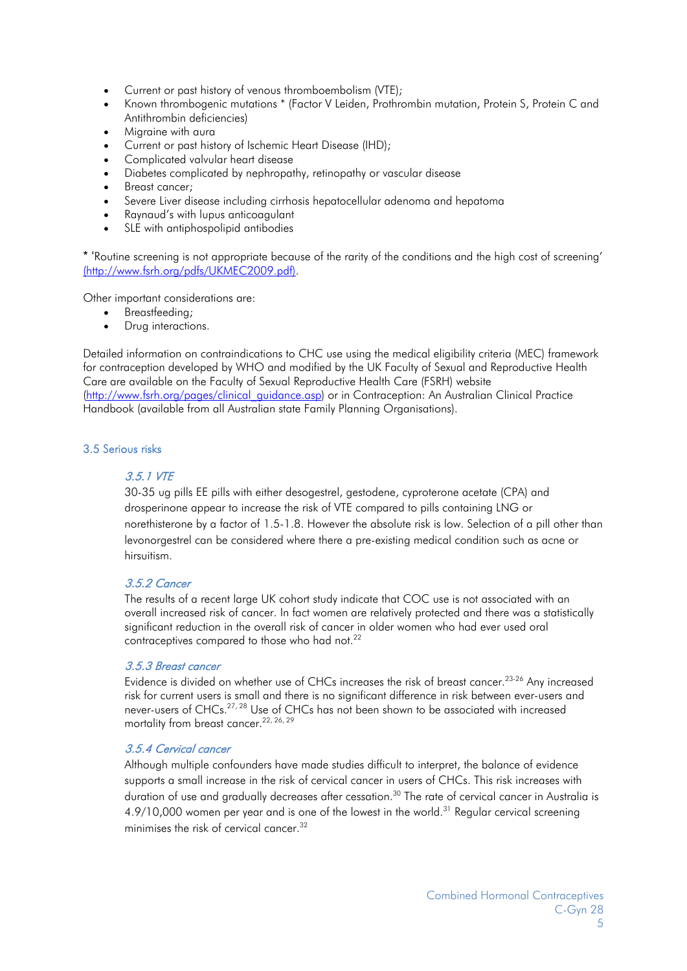- Current or past history of venous thromboembolism (VTE);
- Known thrombogenic mutations \* (Factor V Leiden, Prothrombin mutation, Protein S, Protein C and Antithrombin deficiencies)
- Migraine with aura
- Current or past history of Ischemic Heart Disease (IHD);
- Complicated valvular heart disease
- Diabetes complicated by nephropathy, retinopathy or vascular disease
- Breast cancer;
- Severe Liver disease including cirrhosis hepatocellular adenoma and hepatoma
- Raynaud's with lupus anticoagulant
- SLE with antiphospolipid antibodies

\* 'Routine screening is not appropriate because of the rarity of the conditions and the high cost of screening' (http://www.fsrh.org/pdfs/UKMEC2009.pdf).

Other important considerations are:

- Breastfeeding;
- Drug interactions.

Detailed information on contraindications to CHC use using the medical eligibility criteria (MEC) framework for contraception developed by WHO and modified by the UK Faculty of Sexual and Reproductive Health Care are available on the Faculty of Sexual Reproductive Health Care (FSRH) website (http://www.fsrh.org/pages/clinical\_guidance.asp) or in Contraception: An Australian Clinical Practice Handbook (available from all Australian state Family Planning Organisations).

#### 3.5 Serious risks

#### 3.5.1 VTE

30-35 ug pills EE pills with either desogestrel, gestodene, cyproterone acetate (CPA) and drosperinone appear to increase the risk of VTE compared to pills containing LNG or norethisterone by a factor of 1.5-1.8. However the absolute risk is low. Selection of a pill other than levonorgestrel can be considered where there a pre-existing medical condition such as acne or hirsuitism.

#### 3.5.2 Cancer

The results of a recent large UK cohort study indicate that COC use is not associated with an overall increased risk of cancer. In fact women are relatively protected and there was a statistically significant reduction in the overall risk of cancer in older women who had ever used oral contraceptives compared to those who had not.<sup>22</sup>

#### 3.5.3 Breast cancer

Evidence is divided on whether use of CHCs increases the risk of breast cancer.<sup>23-26</sup> Any increased risk for current users is small and there is no significant difference in risk between ever-users and never-users of CHCs.27, 28 Use of CHCs has not been shown to be associated with increased mortality from breast cancer.<sup>22, 26, 29</sup>

#### 3.5.4 Cervical cancer

Although multiple confounders have made studies difficult to interpret, the balance of evidence supports a small increase in the risk of cervical cancer in users of CHCs. This risk increases with duration of use and gradually decreases after cessation.<sup>30</sup> The rate of cervical cancer in Australia is 4.9/10,000 women per year and is one of the lowest in the world.<sup>31</sup> Regular cervical screening minimises the risk of cervical cancer.<sup>32</sup>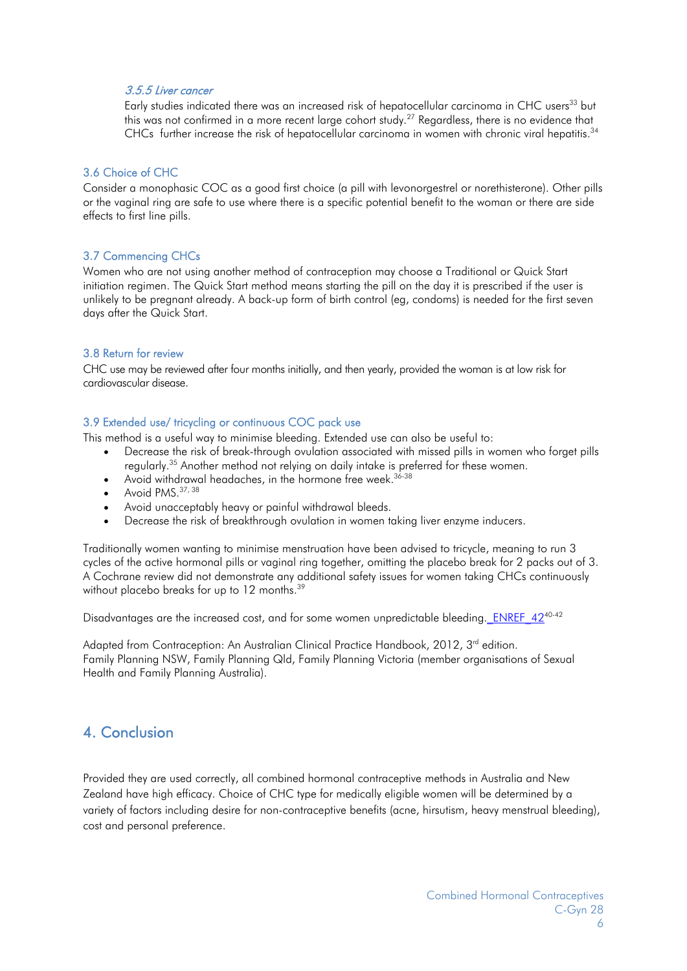#### 3.5.5 Liver cancer

Early studies indicated there was an increased risk of hepatocellular carcinoma in CHC users<sup>33</sup> but this was not confirmed in a more recent large cohort study.<sup>27</sup> Regardless, there is no evidence that CHCs further increase the risk of hepatocellular carcinoma in women with chronic viral hepatitis.<sup>34</sup>

#### 3.6 Choice of CHC

Consider a monophasic COC as a good first choice (a pill with levonorgestrel or norethisterone). Other pills or the vaginal ring are safe to use where there is a specific potential benefit to the woman or there are side effects to first line pills.

#### 3.7 Commencing CHCs

Women who are not using another method of contraception may choose a Traditional or Quick Start initiation regimen. The Quick Start method means starting the pill on the day it is prescribed if the user is unlikely to be pregnant already. A back-up form of birth control (eg, condoms) is needed for the first seven days after the Quick Start.

#### 3.8 Return for review

CHC use may be reviewed after four months initially, and then yearly, provided the woman is at low risk for cardiovascular disease.

#### 3.9 Extended use/ tricycling or continuous COC pack use

This method is a useful way to minimise bleeding. Extended use can also be useful to:

- Decrease the risk of break-through ovulation associated with missed pills in women who forget pills regularly.35 Another method not relying on daily intake is preferred for these women.
- Avoid withdrawal headaches, in the hormone free week.<sup>36-38</sup>
- $\bullet$  Avoid PMS.  $37,38$
- Avoid unacceptably heavy or painful withdrawal bleeds.
- Decrease the risk of breakthrough ovulation in women taking liver enzyme inducers.

Traditionally women wanting to minimise menstruation have been advised to tricycle, meaning to run 3 cycles of the active hormonal pills or vaginal ring together, omitting the placebo break for 2 packs out of 3. A Cochrane review did not demonstrate any additional safety issues for women taking CHCs continuously without placebo breaks for up to 12 months.<sup>39</sup>

Disadvantages are the increased cost, and for some women unpredictable bleeding. ENREF 42<sup>40-42</sup>

Adapted from Contraception: An Australian Clinical Practice Handbook, 2012, 3<sup>rd</sup> edition. Family Planning NSW, Family Planning Qld, Family Planning Victoria (member organisations of Sexual Health and Family Planning Australia).

### 4. Conclusion

Provided they are used correctly, all combined hormonal contraceptive methods in Australia and New Zealand have high efficacy. Choice of CHC type for medically eligible women will be determined by a variety of factors including desire for non-contraceptive benefits (acne, hirsutism, heavy menstrual bleeding), cost and personal preference.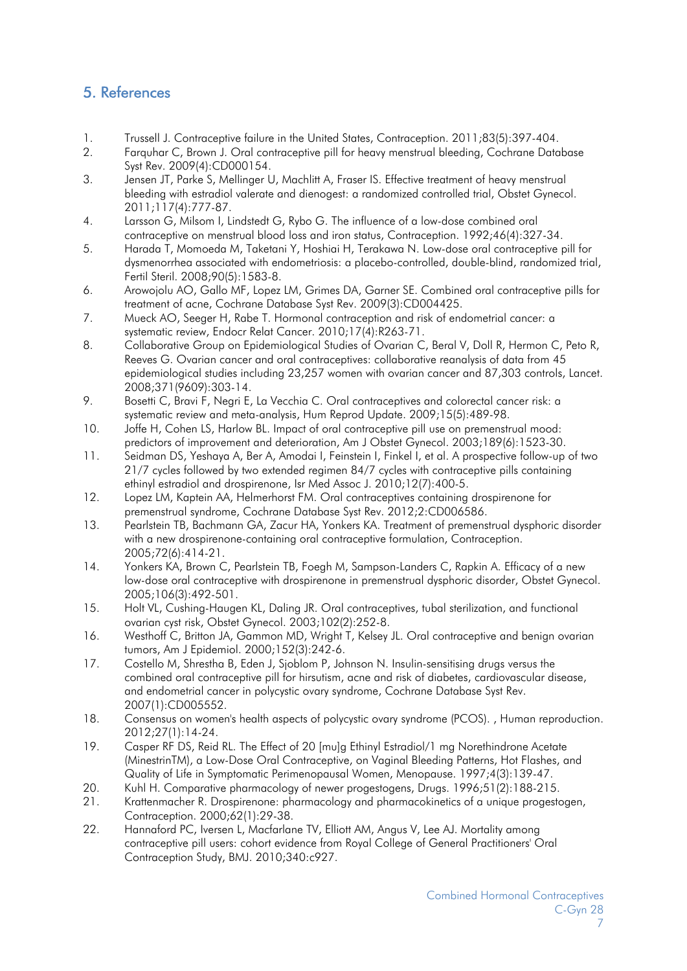# 5. References

- 1. Trussell J. Contraceptive failure in the United States, Contraception. 2011;83(5):397-404.
- 2. Farquhar C, Brown J. Oral contraceptive pill for heavy menstrual bleeding, Cochrane Database Syst Rev. 2009(4):CD000154.
- 3. Jensen JT, Parke S, Mellinger U, Machlitt A, Fraser IS. Effective treatment of heavy menstrual bleeding with estradiol valerate and dienogest: a randomized controlled trial, Obstet Gynecol. 2011;117(4):777-87.
- 4. Larsson G, Milsom I, Lindstedt G, Rybo G. The influence of a low-dose combined oral contraceptive on menstrual blood loss and iron status, Contraception. 1992;46(4):327-34.
- 5. Harada T, Momoeda M, Taketani Y, Hoshiai H, Terakawa N. Low-dose oral contraceptive pill for dysmenorrhea associated with endometriosis: a placebo-controlled, double-blind, randomized trial, Fertil Steril. 2008;90(5):1583-8.
- 6. Arowojolu AO, Gallo MF, Lopez LM, Grimes DA, Garner SE. Combined oral contraceptive pills for treatment of acne, Cochrane Database Syst Rev. 2009(3):CD004425.
- 7. Mueck AO, Seeger H, Rabe T. Hormonal contraception and risk of endometrial cancer: a systematic review, Endocr Relat Cancer. 2010;17(4):R263-71.
- 8. Collaborative Group on Epidemiological Studies of Ovarian C, Beral V, Doll R, Hermon C, Peto R, Reeves G. Ovarian cancer and oral contraceptives: collaborative reanalysis of data from 45 epidemiological studies including 23,257 women with ovarian cancer and 87,303 controls, Lancet. 2008;371(9609):303-14.
- 9. Bosetti C, Bravi F, Negri E, La Vecchia C. Oral contraceptives and colorectal cancer risk: a systematic review and meta-analysis, Hum Reprod Update. 2009;15(5):489-98.
- 10. Joffe H, Cohen LS, Harlow BL. Impact of oral contraceptive pill use on premenstrual mood: predictors of improvement and deterioration, Am J Obstet Gynecol. 2003;189(6):1523-30.
- 11. Seidman DS, Yeshaya A, Ber A, Amodai I, Feinstein I, Finkel I, et al. A prospective follow-up of two 21/7 cycles followed by two extended regimen 84/7 cycles with contraceptive pills containing ethinyl estradiol and drospirenone, Isr Med Assoc J. 2010;12(7):400-5.
- 12. Lopez LM, Kaptein AA, Helmerhorst FM. Oral contraceptives containing drospirenone for premenstrual syndrome, Cochrane Database Syst Rev. 2012;2:CD006586.
- 13. Pearlstein TB, Bachmann GA, Zacur HA, Yonkers KA. Treatment of premenstrual dysphoric disorder with a new drospirenone-containing oral contraceptive formulation, Contraception. 2005;72(6):414-21.
- 14. Yonkers KA, Brown C, Pearlstein TB, Foegh M, Sampson-Landers C, Rapkin A. Efficacy of a new low-dose oral contraceptive with drospirenone in premenstrual dysphoric disorder, Obstet Gynecol. 2005;106(3):492-501.
- 15. Holt VL, Cushing-Haugen KL, Daling JR. Oral contraceptives, tubal sterilization, and functional ovarian cyst risk, Obstet Gynecol. 2003;102(2):252-8.
- 16. Westhoff C, Britton JA, Gammon MD, Wright T, Kelsey JL. Oral contraceptive and benign ovarian tumors, Am J Epidemiol. 2000;152(3):242-6.
- 17. Costello M, Shrestha B, Eden J, Sjoblom P, Johnson N. Insulin-sensitising drugs versus the combined oral contraceptive pill for hirsutism, acne and risk of diabetes, cardiovascular disease, and endometrial cancer in polycystic ovary syndrome, Cochrane Database Syst Rev. 2007(1):CD005552.
- 18. Consensus on women's health aspects of polycystic ovary syndrome (PCOS). , Human reproduction. 2012;27(1):14-24.
- 19. Casper RF DS, Reid RL. The Effect of 20 [mu]g Ethinyl Estradiol/1 mg Norethindrone Acetate (MinestrinTM), a Low-Dose Oral Contraceptive, on Vaginal Bleeding Patterns, Hot Flashes, and Quality of Life in Symptomatic Perimenopausal Women, Menopause. 1997;4(3):139-47.
- 20. Kuhl H. Comparative pharmacology of newer progestogens, Drugs. 1996;51(2):188-215.
- 21. Krattenmacher R. Drospirenone: pharmacology and pharmacokinetics of a unique progestogen, Contraception. 2000;62(1):29-38.
- 22. Hannaford PC, Iversen L, Macfarlane TV, Elliott AM, Angus V, Lee AJ. Mortality among contraceptive pill users: cohort evidence from Royal College of General Practitioners' Oral Contraception Study, BMJ. 2010;340:c927.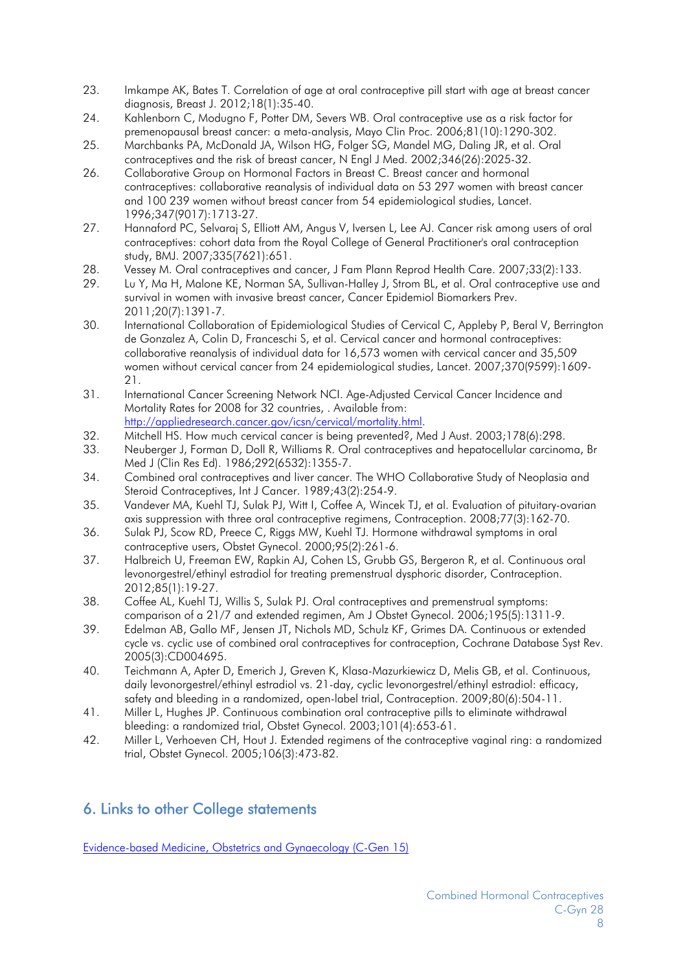- 23. Imkampe AK, Bates T. Correlation of age at oral contraceptive pill start with age at breast cancer diagnosis, Breast J. 2012;18(1):35-40.
- 24. Kahlenborn C, Modugno F, Potter DM, Severs WB. Oral contraceptive use as a risk factor for premenopausal breast cancer: a meta-analysis, Mayo Clin Proc. 2006;81(10):1290-302.
- 25. Marchbanks PA, McDonald JA, Wilson HG, Folger SG, Mandel MG, Daling JR, et al. Oral contraceptives and the risk of breast cancer, N Engl J Med. 2002;346(26):2025-32.
- 26. Collaborative Group on Hormonal Factors in Breast C. Breast cancer and hormonal contraceptives: collaborative reanalysis of individual data on 53 297 women with breast cancer and 100 239 women without breast cancer from 54 epidemiological studies, Lancet. 1996;347(9017):1713-27.
- 27. Hannaford PC, Selvaraj S, Elliott AM, Angus V, Iversen L, Lee AJ. Cancer risk among users of oral contraceptives: cohort data from the Royal College of General Practitioner's oral contraception study, BMJ. 2007;335(7621):651.
- 28. Vessey M. Oral contraceptives and cancer, J Fam Plann Reprod Health Care. 2007;33(2):133.
- 29. Lu Y, Ma H, Malone KE, Norman SA, Sullivan-Halley J, Strom BL, et al. Oral contraceptive use and survival in women with invasive breast cancer, Cancer Epidemiol Biomarkers Prev. 2011;20(7):1391-7.
- 30. International Collaboration of Epidemiological Studies of Cervical C, Appleby P, Beral V, Berrington de Gonzalez A, Colin D, Franceschi S, et al. Cervical cancer and hormonal contraceptives: collaborative reanalysis of individual data for 16,573 women with cervical cancer and 35,509 women without cervical cancer from 24 epidemiological studies, Lancet. 2007;370(9599):1609- 21.
- 31. International Cancer Screening Network NCI. Age-Adjusted Cervical Cancer Incidence and Mortality Rates for 2008 for 32 countries, . Available from: http://appliedresearch.cancer.gov/icsn/cervical/mortality.html.
- 32. Mitchell HS. How much cervical cancer is being prevented?, Med J Aust. 2003;178(6):298.
- 33. Neuberger J, Forman D, Doll R, Williams R. Oral contraceptives and hepatocellular carcinoma, Br Med J (Clin Res Ed). 1986;292(6532):1355-7.
- 34. Combined oral contraceptives and liver cancer. The WHO Collaborative Study of Neoplasia and Steroid Contraceptives, Int J Cancer. 1989;43(2):254-9.
- 35. Vandever MA, Kuehl TJ, Sulak PJ, Witt I, Coffee A, Wincek TJ, et al. Evaluation of pituitary-ovarian axis suppression with three oral contraceptive regimens, Contraception. 2008;77(3):162-70.
- 36. Sulak PJ, Scow RD, Preece C, Riggs MW, Kuehl TJ. Hormone withdrawal symptoms in oral contraceptive users, Obstet Gynecol. 2000;95(2):261-6.
- 37. Halbreich U, Freeman EW, Rapkin AJ, Cohen LS, Grubb GS, Bergeron R, et al. Continuous oral levonorgestrel/ethinyl estradiol for treating premenstrual dysphoric disorder, Contraception. 2012;85(1):19-27.
- 38. Coffee AL, Kuehl TJ, Willis S, Sulak PJ. Oral contraceptives and premenstrual symptoms: comparison of a 21/7 and extended regimen, Am J Obstet Gynecol. 2006;195(5):1311-9.
- 39. Edelman AB, Gallo MF, Jensen JT, Nichols MD, Schulz KF, Grimes DA. Continuous or extended cycle vs. cyclic use of combined oral contraceptives for contraception, Cochrane Database Syst Rev. 2005(3):CD004695.
- 40. Teichmann A, Apter D, Emerich J, Greven K, Klasa-Mazurkiewicz D, Melis GB, et al. Continuous, daily levonorgestrel/ethinyl estradiol vs. 21-day, cyclic levonorgestrel/ethinyl estradiol: efficacy, safety and bleeding in a randomized, open-label trial, Contraception. 2009;80(6):504-11.
- 41. Miller L, Hughes JP. Continuous combination oral contraceptive pills to eliminate withdrawal bleeding: a randomized trial, Obstet Gynecol. 2003;101(4):653-61.
- 42. Miller L, Verhoeven CH, Hout J. Extended regimens of the contraceptive vaginal ring: a randomized trial, Obstet Gynecol. 2005;106(3):473-82.

# 6. Links to other College statements

Evidence-based Medicine, Obstetrics and Gynaecology (C-Gen 15)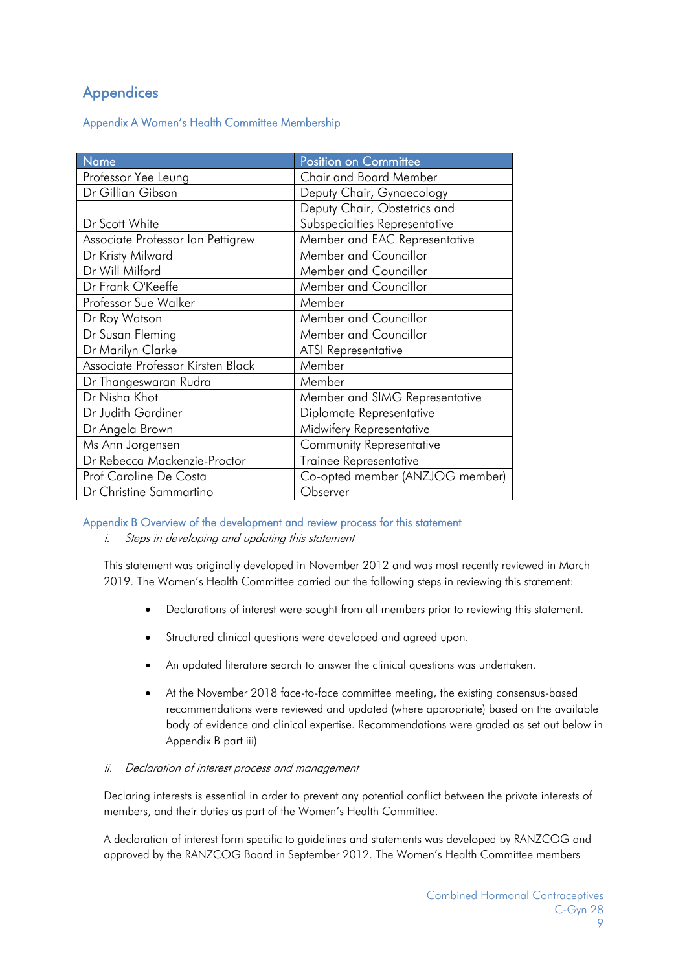# **Appendices**

#### Appendix A Women's Health Committee Membership

| Name                              | Position on Committee           |
|-----------------------------------|---------------------------------|
| Professor Yee Leung               | Chair and Board Member          |
| Dr Gillian Gibson                 | Deputy Chair, Gynaecology       |
|                                   | Deputy Chair, Obstetrics and    |
| Dr Scott White                    | Subspecialties Representative   |
| Associate Professor Ian Pettigrew | Member and EAC Representative   |
| Dr Kristy Milward                 | Member and Councillor           |
| Dr Will Milford                   | Member and Councillor           |
| Dr Frank O'Keeffe                 | Member and Councillor           |
| Professor Sue Walker              | Member                          |
| Dr Roy Watson                     | Member and Councillor           |
| Dr Susan Fleming                  | Member and Councillor           |
| Dr Marilyn Clarke                 | <b>ATSI Representative</b>      |
| Associate Professor Kirsten Black | Member                          |
| Dr Thangeswaran Rudra             | Member                          |
| Dr Nisha Khot                     | Member and SIMG Representative  |
| Dr Judith Gardiner                | Diplomate Representative        |
| Dr Angela Brown                   | Midwifery Representative        |
| Ms Ann Jorgensen                  | <b>Community Representative</b> |
| Dr Rebecca Mackenzie-Proctor      | Trainee Representative          |
| Prof Caroline De Costa            | Co-opted member (ANZJOG member) |
| Dr Christine Sammartino           | Observer                        |

#### Appendix B Overview of the development and review process for this statement

i. Steps in developing and updating this statement

This statement was originally developed in November 2012 and was most recently reviewed in March 2019. The Women's Health Committee carried out the following steps in reviewing this statement:

- Declarations of interest were sought from all members prior to reviewing this statement.
- Structured clinical questions were developed and agreed upon.
- An updated literature search to answer the clinical questions was undertaken.
- At the November 2018 face-to-face committee meeting, the existing consensus-based recommendations were reviewed and updated (where appropriate) based on the available body of evidence and clinical expertise. Recommendations were graded as set out below in Appendix B part iii)

#### ii. Declaration of interest process and management

Declaring interests is essential in order to prevent any potential conflict between the private interests of members, and their duties as part of the Women's Health Committee.

A declaration of interest form specific to guidelines and statements was developed by RANZCOG and approved by the RANZCOG Board in September 2012. The Women's Health Committee members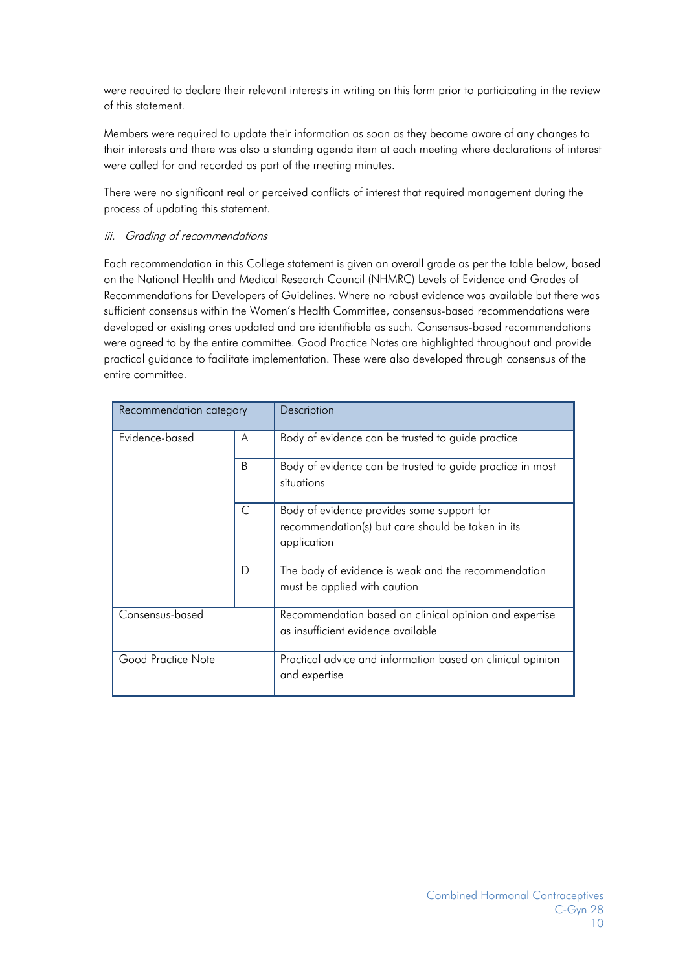were required to declare their relevant interests in writing on this form prior to participating in the review of this statement.

Members were required to update their information as soon as they become aware of any changes to their interests and there was also a standing agenda item at each meeting where declarations of interest were called for and recorded as part of the meeting minutes.

There were no significant real or perceived conflicts of interest that required management during the process of updating this statement.

#### iii. Grading of recommendations

Each recommendation in this College statement is given an overall grade as per the table below, based on the National Health and Medical Research Council (NHMRC) Levels of Evidence and Grades of Recommendations for Developers of Guidelines. Where no robust evidence was available but there was sufficient consensus within the Women's Health Committee, consensus-based recommendations were developed or existing ones updated and are identifiable as such. Consensus-based recommendations were agreed to by the entire committee. Good Practice Notes are highlighted throughout and provide practical guidance to facilitate implementation. These were also developed through consensus of the entire committee.

| Recommendation category |   | Description                                                                                                    |
|-------------------------|---|----------------------------------------------------------------------------------------------------------------|
| Evidence-based<br>A     |   | Body of evidence can be trusted to guide practice                                                              |
|                         | B | Body of evidence can be trusted to guide practice in most<br>situations                                        |
|                         | C | Body of evidence provides some support for<br>recommendation(s) but care should be taken in its<br>application |
|                         | D | The body of evidence is weak and the recommendation<br>must be applied with caution                            |
| Consensus-based         |   | Recommendation based on clinical opinion and expertise<br>as insufficient evidence available                   |
| Good Practice Note      |   | Practical advice and information based on clinical opinion<br>and expertise                                    |